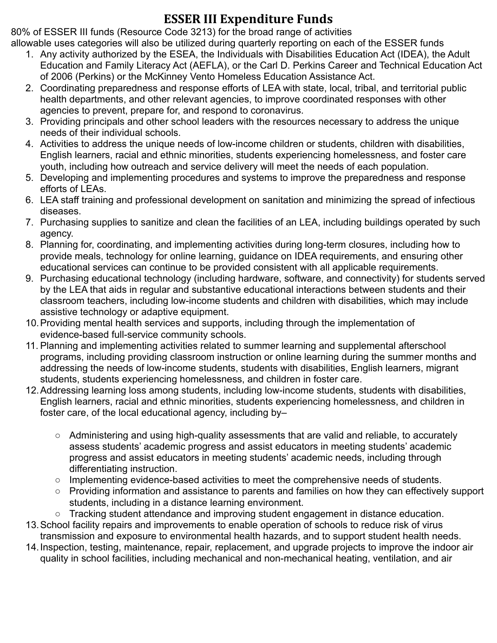## **ESSER III Expenditure Funds**

80% of ESSER III funds (Resource Code 3213) for the broad range of activities allowable uses categories will also be utilized during quarterly reporting on each of the ESSER funds

- 1. Any activity authorized by the ESEA, the Individuals with Disabilities Education Act (IDEA), the Adult Education and Family Literacy Act (AEFLA), or the Carl D. Perkins Career and Technical Education Act of 2006 (Perkins) or the McKinney Vento Homeless Education Assistance Act.
- 2. Coordinating preparedness and response efforts of LEA with state, local, tribal, and territorial public health departments, and other relevant agencies, to improve coordinated responses with other agencies to prevent, prepare for, and respond to coronavirus.
- 3. Providing principals and other school leaders with the resources necessary to address the unique needs of their individual schools.
- 4. Activities to address the unique needs of low-income children or students, children with disabilities, English learners, racial and ethnic minorities, students experiencing homelessness, and foster care youth, including how outreach and service delivery will meet the needs of each population.
- 5. Developing and implementing procedures and systems to improve the preparedness and response efforts of LEAs.
- 6. LEA staff training and professional development on sanitation and minimizing the spread of infectious diseases.
- 7. Purchasing supplies to sanitize and clean the facilities of an LEA, including buildings operated by such agency.
- 8. Planning for, coordinating, and implementing activities during long-term closures, including how to provide meals, technology for online learning, guidance on IDEA requirements, and ensuring other educational services can continue to be provided consistent with all applicable requirements.
- 9. Purchasing educational technology (including hardware, software, and connectivity) for students served by the LEA that aids in regular and substantive educational interactions between students and their classroom teachers, including low-income students and children with disabilities, which may include assistive technology or adaptive equipment.
- 10.Providing mental health services and supports, including through the implementation of evidence-based full-service community schools.
- 11. Planning and implementing activities related to summer learning and supplemental afterschool programs, including providing classroom instruction or online learning during the summer months and addressing the needs of low-income students, students with disabilities, English learners, migrant students, students experiencing homelessness, and children in foster care.
- 12.Addressing learning loss among students, including low-income students, students with disabilities, English learners, racial and ethnic minorities, students experiencing homelessness, and children in foster care, of the local educational agency, including by–
	- Administering and using high-quality assessments that are valid and reliable, to accurately assess students' academic progress and assist educators in meeting students' academic progress and assist educators in meeting students' academic needs, including through differentiating instruction.
	- $\circ$  Implementing evidence-based activities to meet the comprehensive needs of students.
	- Providing information and assistance to parents and families on how they can effectively support students, including in a distance learning environment.
	- Tracking student attendance and improving student engagement in distance education.
- 13.School facility repairs and improvements to enable operation of schools to reduce risk of virus transmission and exposure to environmental health hazards, and to support student health needs.
- 14.Inspection, testing, maintenance, repair, replacement, and upgrade projects to improve the indoor air quality in school facilities, including mechanical and non-mechanical heating, ventilation, and air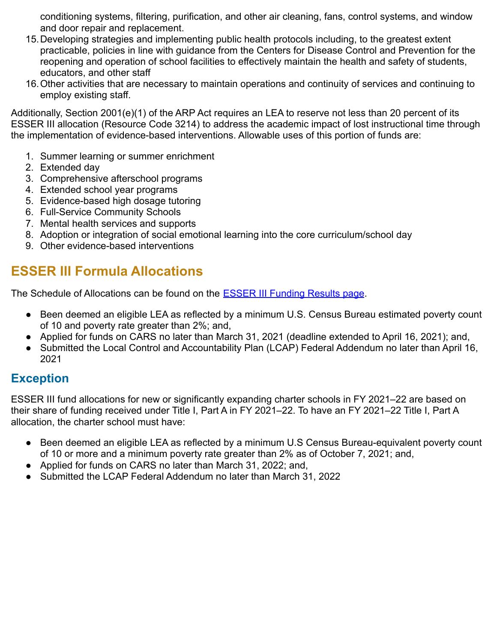conditioning systems, filtering, purification, and other air cleaning, fans, control systems, and window and door repair and replacement.

- 15.Developing strategies and implementing public health protocols including, to the greatest extent practicable, policies in line with guidance from the Centers for Disease Control and Prevention for the reopening and operation of school facilities to effectively maintain the health and safety of students, educators, and other staff
- 16.Other activities that are necessary to maintain operations and continuity of services and continuing to employ existing staff.

Additionally, Section 2001(e)(1) of the ARP Act requires an LEA to reserve not less than 20 percent of its ESSER III allocation (Resource Code 3214) to address the academic impact of lost instructional time through the implementation of evidence-based interventions. Allowable uses of this portion of funds are:

- 1. Summer learning or summer enrichment
- 2. Extended day
- 3. Comprehensive afterschool programs
- 4. Extended school year programs
- 5. Evidence-based high dosage tutoring
- 6. Full-Service Community Schools
- 7. Mental health services and supports
- 8. Adoption or integration of social emotional learning into the core curriculum/school day
- 9. Other evidence-based interventions

## **ESSER III Formula Allocations**

The Schedule of Allocations can be found on the **ESSER [III Funding Results page](https://www.cde.ca.gov/fg/fo/r14/esseriii20result.asp)**.

- Been deemed an eligible LEA as reflected by a minimum U.S. Census Bureau estimated poverty count of 10 and poverty rate greater than 2%; and,
- Applied for funds on CARS no later than March 31, 2021 (deadline extended to April 16, 2021); and,
- Submitted the Local Control and Accountability Plan (LCAP) Federal Addendum no later than April 16, 2021

### **Exception**

ESSER III fund allocations for new or significantly expanding charter schools in FY 2021–22 are based on their share of funding received under Title I, Part A in FY 2021–22. To have an FY 2021–22 Title I, Part A allocation, the charter school must have:

- Been deemed an eligible LEA as reflected by a minimum U.S Census Bureau-equivalent poverty count of 10 or more and a minimum poverty rate greater than 2% as of October 7, 2021; and,
- Applied for funds on CARS no later than March 31, 2022; and,
- Submitted the LCAP Federal Addendum no later than March 31, 2022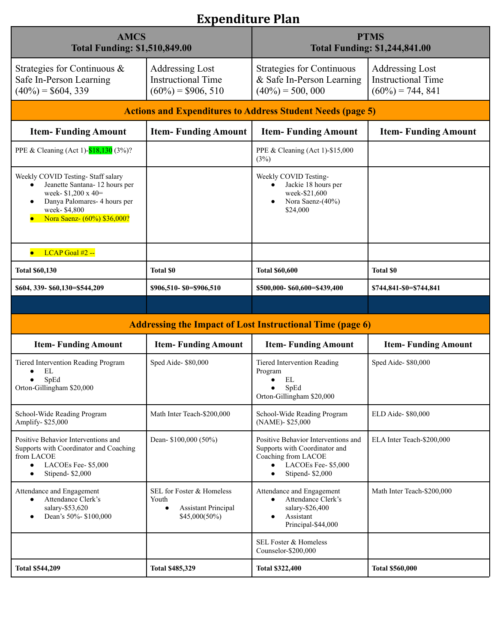# **Expenditure Plan**

| <b>AMCS</b><br><b>Total Funding: \$1,510,849.00</b>                                                                                                                                           |                                                                                                  | <b>PTMS</b><br><b>Total Funding: \$1,244,841.00</b>                                                                                                             |                                                                            |  |  |
|-----------------------------------------------------------------------------------------------------------------------------------------------------------------------------------------------|--------------------------------------------------------------------------------------------------|-----------------------------------------------------------------------------------------------------------------------------------------------------------------|----------------------------------------------------------------------------|--|--|
| Strategies for Continuous &<br>Safe In-Person Learning<br>$(40\%) = $604, 339$                                                                                                                | <b>Addressing Lost</b><br><b>Instructional Time</b><br>$(60\%) = $906, 510$                      | <b>Strategies for Continuous</b><br>& Safe In-Person Learning<br>$(40\%) = 500,000$                                                                             | <b>Addressing Lost</b><br><b>Instructional Time</b><br>$(60\%) = 744, 841$ |  |  |
| <b>Actions and Expenditures to Address Student Needs (page 5)</b>                                                                                                                             |                                                                                                  |                                                                                                                                                                 |                                                                            |  |  |
| <b>Item-Funding Amount</b>                                                                                                                                                                    | <b>Item-Funding Amount</b>                                                                       | <b>Item-Funding Amount</b>                                                                                                                                      | <b>Item-Funding Amount</b>                                                 |  |  |
| PPE & Cleaning (Act 1)-818,130 (3%)?                                                                                                                                                          |                                                                                                  | PPE & Cleaning (Act 1)-\$15,000<br>(3%)                                                                                                                         |                                                                            |  |  |
| Weekly COVID Testing- Staff salary<br>Jeanette Santana- 12 hours per<br>$\bullet$<br>week- \$1,200 x 40=<br>Danya Palomares- 4 hours per<br>٠<br>week- \$4,800<br>Nora Saenz- (60%) \$36,000? |                                                                                                  | Weekly COVID Testing-<br>Jackie 18 hours per<br>week-\$21,600<br>Nora Saenz-(40%)<br>\$24,000                                                                   |                                                                            |  |  |
| $LCAP$ Goal #2 --<br>$\bullet$                                                                                                                                                                |                                                                                                  |                                                                                                                                                                 |                                                                            |  |  |
| <b>Total \$60,130</b>                                                                                                                                                                         | <b>Total \$0</b>                                                                                 | <b>Total \$60,600</b>                                                                                                                                           | <b>Total \$0</b>                                                           |  |  |
| \$604, 339- \$60, 130= \$544, 209                                                                                                                                                             | \$906,510-\$0=\$906,510                                                                          | \$500,000-\$60,600=\$439,400                                                                                                                                    | \$744,841-\$0=\$744,841                                                    |  |  |
|                                                                                                                                                                                               |                                                                                                  |                                                                                                                                                                 |                                                                            |  |  |
| <b>Addressing the Impact of Lost Instructional Time (page 6)</b>                                                                                                                              |                                                                                                  |                                                                                                                                                                 |                                                                            |  |  |
| <b>Item-Funding Amount</b>                                                                                                                                                                    | <b>Item-Funding Amount</b>                                                                       | <b>Item-Funding Amount</b>                                                                                                                                      | <b>Item-Funding Amount</b>                                                 |  |  |
| Tiered Intervention Reading Program<br>EL<br>SpEd<br>Orton-Gillingham \$20,000                                                                                                                | Sped Aide-\$80,000                                                                               | Tiered Intervention Reading<br>Program<br>EL<br>$\bullet$<br>SpEd<br>$\bullet$<br>Orton-Gillingham \$20,000                                                     | Sped Aide-\$80,000                                                         |  |  |
| School-Wide Reading Program<br>Amplify-\$25,000                                                                                                                                               | Math Inter Teach-\$200,000                                                                       | School-Wide Reading Program<br>(NAME)-\$25,000                                                                                                                  | ELD Aide- \$80,000                                                         |  |  |
| Positive Behavior Interventions and<br>Supports with Coordinator and Coaching<br>from LACOE<br>LACOEs Fee- \$5,000<br>$\bullet$<br>Stipend-\$2,000<br>$\bullet$                               | Dean- \$100,000 (50%)                                                                            | Positive Behavior Interventions and<br>Supports with Coordinator and<br>Coaching from LACOE<br>LACOEs Fee- \$5,000<br>$\bullet$<br>Stipend-\$2,000<br>$\bullet$ | ELA Inter Teach-\$200,000                                                  |  |  |
| Attendance and Engagement<br>Attendance Clerk's<br>$\bullet$<br>salary-\$53,620<br>Dean's 50%- \$100,000<br>$\bullet$                                                                         | SEL for Foster & Homeless<br>Youth<br><b>Assistant Principal</b><br>$\bullet$<br>$$45,000(50\%)$ | Attendance and Engagement<br>Attendance Clerk's<br>$\bullet$<br>salary-\$26,400<br>Assistant<br>Principal-\$44,000                                              | Math Inter Teach-\$200,000                                                 |  |  |
|                                                                                                                                                                                               |                                                                                                  | SEL Foster & Homeless<br>Counselor-\$200,000                                                                                                                    |                                                                            |  |  |
| <b>Total \$544,209</b>                                                                                                                                                                        | <b>Total \$485,329</b>                                                                           | <b>Total \$322,400</b>                                                                                                                                          | <b>Total \$560,000</b>                                                     |  |  |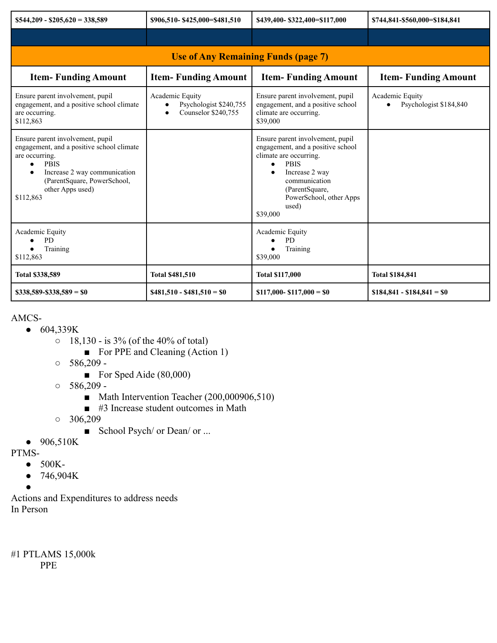| $$544,209 - $205,620 = 338,589$                                                                                                                                                                                             | \$906,510-\$425,000=\$481,510                                                              | \$439,400-\$322,400=\$117,000                                                                                                                                                                                                    | \$744,841-\$560,000=\$184,841             |  |
|-----------------------------------------------------------------------------------------------------------------------------------------------------------------------------------------------------------------------------|--------------------------------------------------------------------------------------------|----------------------------------------------------------------------------------------------------------------------------------------------------------------------------------------------------------------------------------|-------------------------------------------|--|
|                                                                                                                                                                                                                             |                                                                                            |                                                                                                                                                                                                                                  |                                           |  |
| <b>Use of Any Remaining Funds (page 7)</b>                                                                                                                                                                                  |                                                                                            |                                                                                                                                                                                                                                  |                                           |  |
| <b>Item-Funding Amount</b>                                                                                                                                                                                                  | <b>Item-Funding Amount</b>                                                                 | <b>Item-Funding Amount</b>                                                                                                                                                                                                       | <b>Item-Funding Amount</b>                |  |
| Ensure parent involvement, pupil<br>engagement, and a positive school climate<br>are occurring.<br>\$112,863                                                                                                                | Academic Equity<br>Psychologist \$240,755<br>$\bullet$<br>Counselor \$240,755<br>$\bullet$ | Ensure parent involvement, pupil<br>engagement, and a positive school<br>climate are occurring.<br>\$39,000                                                                                                                      | Academic Equity<br>Psychologist \$184,840 |  |
| Ensure parent involvement, pupil<br>engagement, and a positive school climate<br>are occurring.<br><b>PBIS</b><br>$\bullet$<br>Increase 2 way communication<br>(ParentSquare, PowerSchool,<br>other Apps used)<br>\$112,863 |                                                                                            | Ensure parent involvement, pupil<br>engagement, and a positive school<br>climate are occurring.<br><b>PBIS</b><br>$\bullet$<br>Increase 2 way<br>communication<br>(ParentSquare,<br>PowerSchool, other Apps<br>used)<br>\$39,000 |                                           |  |
| Academic Equity<br><b>PD</b><br>Training<br>\$112,863                                                                                                                                                                       |                                                                                            | Academic Equity<br><b>PD</b><br>Training<br>\$39,000                                                                                                                                                                             |                                           |  |
| <b>Total \$338,589</b>                                                                                                                                                                                                      | <b>Total \$481,510</b>                                                                     | <b>Total \$117,000</b>                                                                                                                                                                                                           | <b>Total \$184,841</b>                    |  |
| $$338,589 - $338,589 = $0$                                                                                                                                                                                                  | $$481,510 - $481,510 = $0$                                                                 | $$117,000 - $117,000 = $0$                                                                                                                                                                                                       | $$184,841 - $184,841 = $0$                |  |

#### AMCS-

- 604,339K
	- 18,130 is 3% (of the 40% of total)
		- For PPE and Cleaning (Action 1)
	- $0.586,209 -$ 
		- For Sped Aide (80,000)
	- $0.586,209$  -
		- Math Intervention Teacher (200,000906,510)
		- #3 Increase student outcomes in Math
	- $0$  306,209
		- School Psych/ or Dean/ or ...
- 906,510K
- PTMS-
	- 500K-
	- 746,904K
	- ●

Actions and Expenditures to address needs In Person

#1 PTLAMS 15,000k PPE